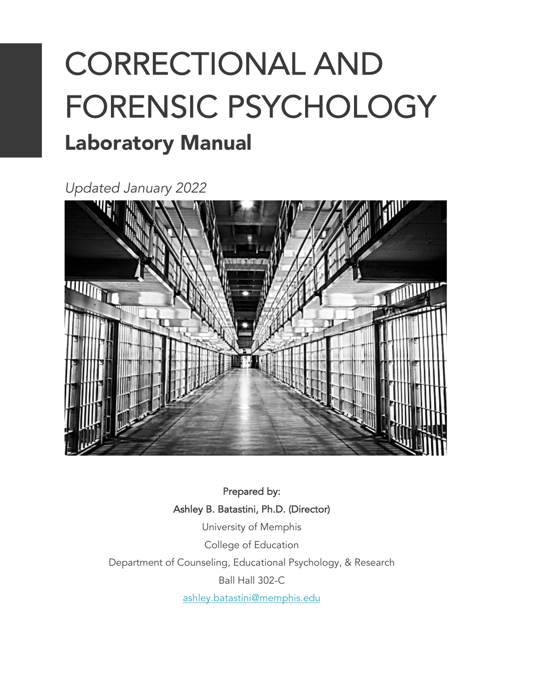# CORRECTIONAL AND FORENSIC PSYCHOLOGY Laboratory Manual

*Updated January 2022*



Prepared by: Ashley B. Batastini, Ph.D. (Director) University of Memphis College of Education Department of Counseling, Educational Psychology, & Research Ball Hall 302-C ashley.batastini@memphis.edu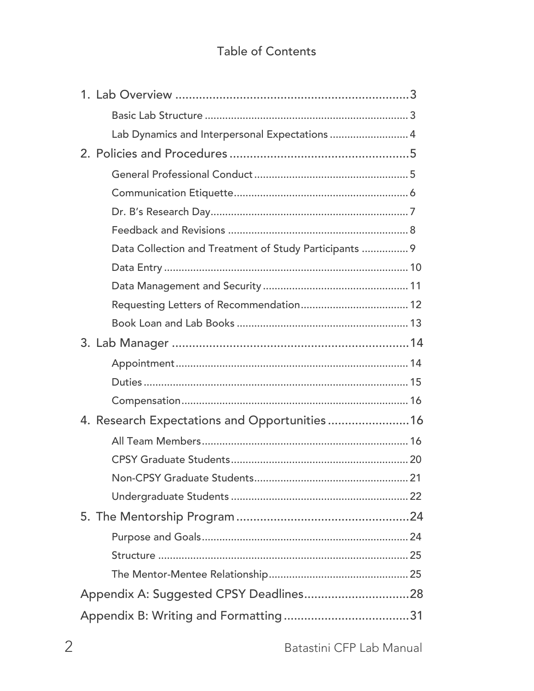| Lab Dynamics and Interpersonal Expectations  4         |    |
|--------------------------------------------------------|----|
|                                                        |    |
|                                                        |    |
|                                                        |    |
|                                                        |    |
|                                                        |    |
| Data Collection and Treatment of Study Participants  9 |    |
|                                                        |    |
|                                                        |    |
|                                                        |    |
|                                                        |    |
|                                                        |    |
|                                                        |    |
|                                                        |    |
|                                                        |    |
| 4. Research Expectations and Opportunities 16          |    |
|                                                        |    |
|                                                        |    |
| Non-CPSY Graduate Students                             | 21 |
|                                                        |    |
|                                                        |    |
|                                                        |    |
|                                                        |    |
|                                                        |    |
| Appendix A: Suggested CPSY Deadlines28                 |    |
|                                                        |    |
|                                                        |    |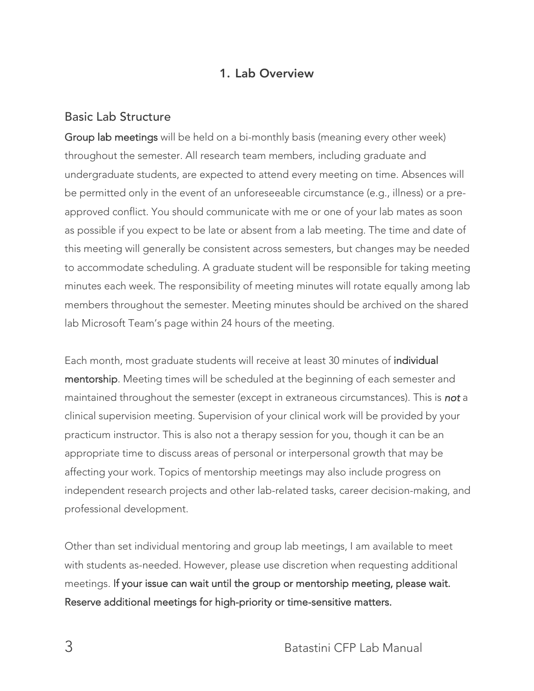#### 1. Lab Overview

#### Basic Lab Structure

Group lab meetings will be held on a bi-monthly basis (meaning every other week) throughout the semester. All research team members, including graduate and undergraduate students, are expected to attend every meeting on time. Absences will be permitted only in the event of an unforeseeable circumstance (e.g., illness) or a preapproved conflict. You should communicate with me or one of your lab mates as soon as possible if you expect to be late or absent from a lab meeting. The time and date of this meeting will generally be consistent across semesters, but changes may be needed to accommodate scheduling. A graduate student will be responsible for taking meeting minutes each week. The responsibility of meeting minutes will rotate equally among lab members throughout the semester. Meeting minutes should be archived on the shared lab Microsoft Team's page within 24 hours of the meeting.

Each month, most graduate students will receive at least 30 minutes of individual mentorship. Meeting times will be scheduled at the beginning of each semester and maintained throughout the semester (except in extraneous circumstances). This is *not* a clinical supervision meeting. Supervision of your clinical work will be provided by your practicum instructor. This is also not a therapy session for you, though it can be an appropriate time to discuss areas of personal or interpersonal growth that may be affecting your work. Topics of mentorship meetings may also include progress on independent research projects and other lab-related tasks, career decision-making, and professional development.

Other than set individual mentoring and group lab meetings, I am available to meet with students as-needed. However, please use discretion when requesting additional meetings. If your issue can wait until the group or mentorship meeting, please wait. Reserve additional meetings for high-priority or time-sensitive matters.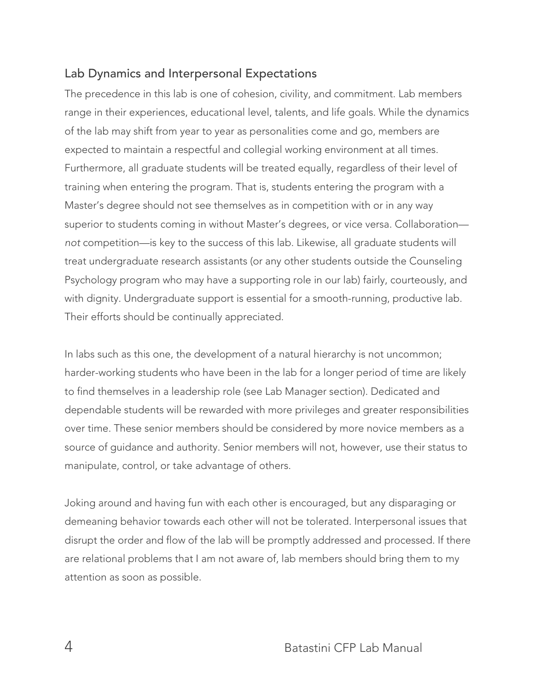## Lab Dynamics and Interpersonal Expectations

The precedence in this lab is one of cohesion, civility, and commitment. Lab members range in their experiences, educational level, talents, and life goals. While the dynamics of the lab may shift from year to year as personalities come and go, members are expected to maintain a respectful and collegial working environment at all times. Furthermore, all graduate students will be treated equally, regardless of their level of training when entering the program. That is, students entering the program with a Master's degree should not see themselves as in competition with or in any way superior to students coming in without Master's degrees, or vice versa. Collaboration *not* competition—is key to the success of this lab. Likewise, all graduate students will treat undergraduate research assistants (or any other students outside the Counseling Psychology program who may have a supporting role in our lab) fairly, courteously, and with dignity. Undergraduate support is essential for a smooth-running, productive lab. Their efforts should be continually appreciated.

In labs such as this one, the development of a natural hierarchy is not uncommon; harder-working students who have been in the lab for a longer period of time are likely to find themselves in a leadership role (see Lab Manager section). Dedicated and dependable students will be rewarded with more privileges and greater responsibilities over time. These senior members should be considered by more novice members as a source of guidance and authority. Senior members will not, however, use their status to manipulate, control, or take advantage of others.

Joking around and having fun with each other is encouraged, but any disparaging or demeaning behavior towards each other will not be tolerated. Interpersonal issues that disrupt the order and flow of the lab will be promptly addressed and processed. If there are relational problems that I am not aware of, lab members should bring them to my attention as soon as possible.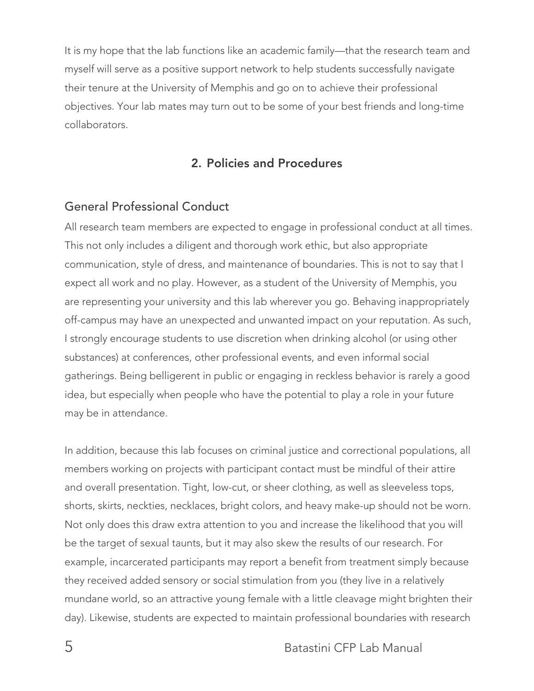It is my hope that the lab functions like an academic family—that the research team and myself will serve as a positive support network to help students successfully navigate their tenure at the University of Memphis and go on to achieve their professional objectives. Your lab mates may turn out to be some of your best friends and long-time collaborators.

#### 2. Policies and Procedures

#### General Professional Conduct

All research team members are expected to engage in professional conduct at all times. This not only includes a diligent and thorough work ethic, but also appropriate communication, style of dress, and maintenance of boundaries. This is not to say that I expect all work and no play. However, as a student of the University of Memphis, you are representing your university and this lab wherever you go. Behaving inappropriately off-campus may have an unexpected and unwanted impact on your reputation. As such, I strongly encourage students to use discretion when drinking alcohol (or using other substances) at conferences, other professional events, and even informal social gatherings. Being belligerent in public or engaging in reckless behavior is rarely a good idea, but especially when people who have the potential to play a role in your future may be in attendance.

In addition, because this lab focuses on criminal justice and correctional populations, all members working on projects with participant contact must be mindful of their attire and overall presentation. Tight, low-cut, or sheer clothing, as well as sleeveless tops, shorts, skirts, neckties, necklaces, bright colors, and heavy make-up should not be worn. Not only does this draw extra attention to you and increase the likelihood that you will be the target of sexual taunts, but it may also skew the results of our research. For example, incarcerated participants may report a benefit from treatment simply because they received added sensory or social stimulation from you (they live in a relatively mundane world, so an attractive young female with a little cleavage might brighten their day). Likewise, students are expected to maintain professional boundaries with research

5 Batastini CFP Lab Manual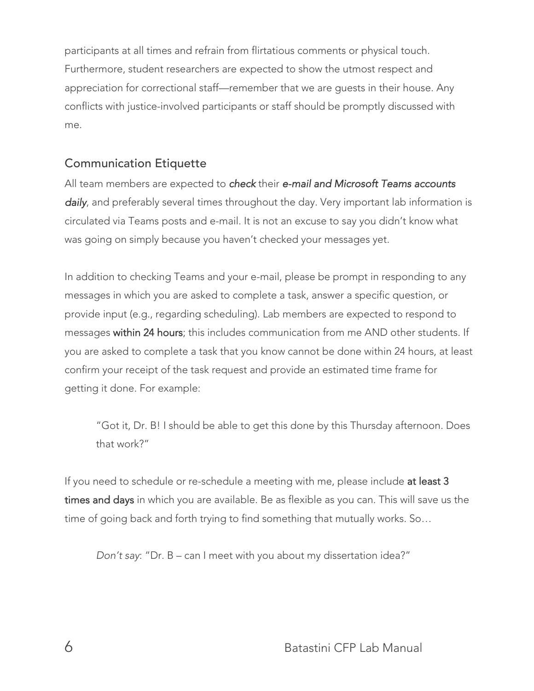participants at all times and refrain from flirtatious comments or physical touch. Furthermore, student researchers are expected to show the utmost respect and appreciation for correctional staff—remember that we are guests in their house. Any conflicts with justice-involved participants or staff should be promptly discussed with me.

#### Communication Etiquette

All team members are expected to *check* their *e-mail and Microsoft Teams accounts daily*, and preferably several times throughout the day. Very important lab information is circulated via Teams posts and e-mail. It is not an excuse to say you didn't know what was going on simply because you haven't checked your messages yet.

In addition to checking Teams and your e-mail, please be prompt in responding to any messages in which you are asked to complete a task, answer a specific question, or provide input (e.g., regarding scheduling). Lab members are expected to respond to messages within 24 hours; this includes communication from me AND other students. If you are asked to complete a task that you know cannot be done within 24 hours, at least confirm your receipt of the task request and provide an estimated time frame for getting it done. For example:

"Got it, Dr. B! I should be able to get this done by this Thursday afternoon. Does that work?"

If you need to schedule or re-schedule a meeting with me, please include at least 3 times and days in which you are available. Be as flexible as you can. This will save us the time of going back and forth trying to find something that mutually works. So…

*Don't say*: "Dr. B – can I meet with you about my dissertation idea?"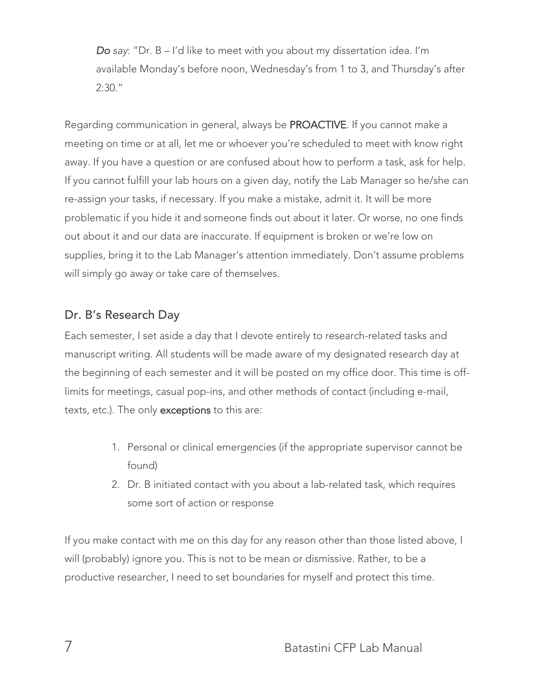*Do say*: "Dr. B – I'd like to meet with you about my dissertation idea. I'm available Monday's before noon, Wednesday's from 1 to 3, and Thursday's after  $2:30."$ 

Regarding communication in general, always be PROACTIVE. If you cannot make a meeting on time or at all, let me or whoever you're scheduled to meet with know right away. If you have a question or are confused about how to perform a task, ask for help. If you cannot fulfill your lab hours on a given day, notify the Lab Manager so he/she can re-assign your tasks, if necessary. If you make a mistake, admit it. It will be more problematic if you hide it and someone finds out about it later. Or worse, no one finds out about it and our data are inaccurate. If equipment is broken or we're low on supplies, bring it to the Lab Manager's attention immediately. Don't assume problems will simply go away or take care of themselves.

## Dr. B's Research Day

Each semester, I set aside a day that I devote entirely to research-related tasks and manuscript writing. All students will be made aware of my designated research day at the beginning of each semester and it will be posted on my office door. This time is offlimits for meetings, casual pop-ins, and other methods of contact (including e-mail, texts, etc.). The only exceptions to this are:

- 1. Personal or clinical emergencies (if the appropriate supervisor cannot be found)
- 2. Dr. B initiated contact with you about a lab-related task, which requires some sort of action or response

If you make contact with me on this day for any reason other than those listed above, I will (probably) ignore you. This is not to be mean or dismissive. Rather, to be a productive researcher, I need to set boundaries for myself and protect this time.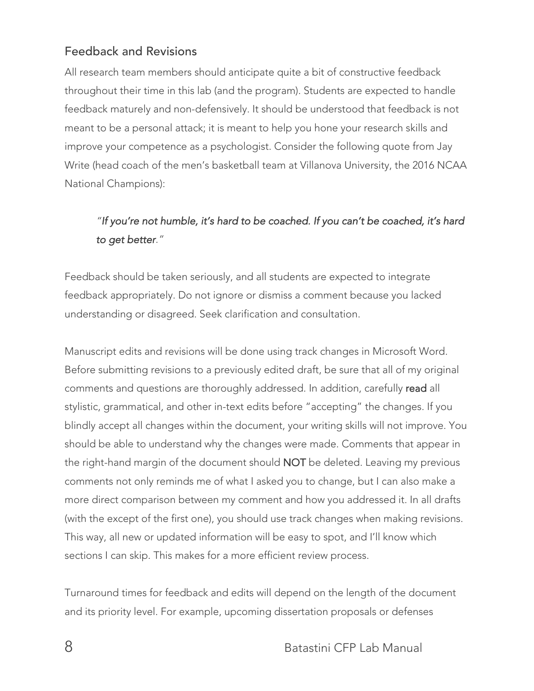## Feedback and Revisions

All research team members should anticipate quite a bit of constructive feedback throughout their time in this lab (and the program). Students are expected to handle feedback maturely and non-defensively. It should be understood that feedback is not meant to be a personal attack; it is meant to help you hone your research skills and improve your competence as a psychologist. Consider the following quote from Jay Write (head coach of the men's basketball team at Villanova University, the 2016 NCAA National Champions):

# *"If you're not humble, it's hard to be coached. If you can't be coached, it's hard to get better."*

Feedback should be taken seriously, and all students are expected to integrate feedback appropriately. Do not ignore or dismiss a comment because you lacked understanding or disagreed. Seek clarification and consultation.

Manuscript edits and revisions will be done using track changes in Microsoft Word. Before submitting revisions to a previously edited draft, be sure that all of my original comments and questions are thoroughly addressed. In addition, carefully read all stylistic, grammatical, and other in-text edits before "accepting" the changes. If you blindly accept all changes within the document, your writing skills will not improve. You should be able to understand why the changes were made. Comments that appear in the right-hand margin of the document should NOT be deleted. Leaving my previous comments not only reminds me of what I asked you to change, but I can also make a more direct comparison between my comment and how you addressed it. In all drafts (with the except of the first one), you should use track changes when making revisions. This way, all new or updated information will be easy to spot, and I'll know which sections I can skip. This makes for a more efficient review process.

Turnaround times for feedback and edits will depend on the length of the document and its priority level. For example, upcoming dissertation proposals or defenses

8 Batastini CFP Lab Manual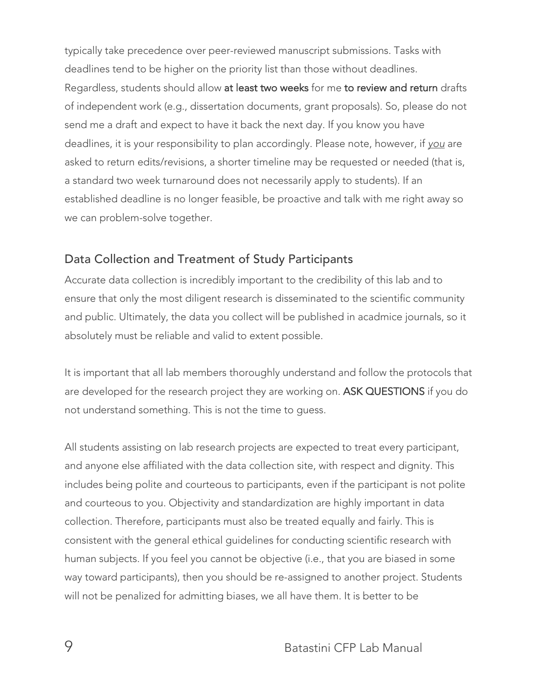typically take precedence over peer-reviewed manuscript submissions. Tasks with deadlines tend to be higher on the priority list than those without deadlines. Regardless, students should allow at least two weeks for me to review and return drafts of independent work (e.g., dissertation documents, grant proposals). So, please do not send me a draft and expect to have it back the next day. If you know you have deadlines, it is your responsibility to plan accordingly. Please note, however, if *you* are asked to return edits/revisions, a shorter timeline may be requested or needed (that is, a standard two week turnaround does not necessarily apply to students). If an established deadline is no longer feasible, be proactive and talk with me right away so we can problem-solve together.

#### Data Collection and Treatment of Study Participants

Accurate data collection is incredibly important to the credibility of this lab and to ensure that only the most diligent research is disseminated to the scientific community and public. Ultimately, the data you collect will be published in acadmice journals, so it absolutely must be reliable and valid to extent possible.

It is important that all lab members thoroughly understand and follow the protocols that are developed for the research project they are working on. ASK QUESTIONS if you do not understand something. This is not the time to guess.

All students assisting on lab research projects are expected to treat every participant, and anyone else affiliated with the data collection site, with respect and dignity. This includes being polite and courteous to participants, even if the participant is not polite and courteous to you. Objectivity and standardization are highly important in data collection. Therefore, participants must also be treated equally and fairly. This is consistent with the general ethical guidelines for conducting scientific research with human subjects. If you feel you cannot be objective (i.e., that you are biased in some way toward participants), then you should be re-assigned to another project. Students will not be penalized for admitting biases, we all have them. It is better to be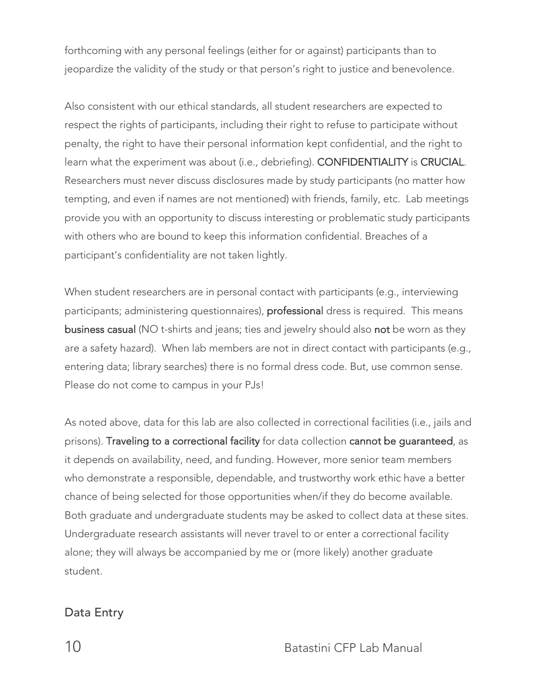forthcoming with any personal feelings (either for or against) participants than to jeopardize the validity of the study or that person's right to justice and benevolence.

Also consistent with our ethical standards, all student researchers are expected to respect the rights of participants, including their right to refuse to participate without penalty, the right to have their personal information kept confidential, and the right to learn what the experiment was about (i.e., debriefing). CONFIDENTIALITY is CRUCIAL. Researchers must never discuss disclosures made by study participants (no matter how tempting, and even if names are not mentioned) with friends, family, etc. Lab meetings provide you with an opportunity to discuss interesting or problematic study participants with others who are bound to keep this information confidential. Breaches of a participant's confidentiality are not taken lightly.

When student researchers are in personal contact with participants (e.g., interviewing participants; administering questionnaires), professional dress is required. This means business casual (NO t-shirts and jeans; ties and jewelry should also not be worn as they are a safety hazard). When lab members are not in direct contact with participants (e.g., entering data; library searches) there is no formal dress code. But, use common sense. Please do not come to campus in your PJs!

As noted above, data for this lab are also collected in correctional facilities (i.e., jails and prisons). Traveling to a correctional facility for data collection cannot be guaranteed, as it depends on availability, need, and funding. However, more senior team members who demonstrate a responsible, dependable, and trustworthy work ethic have a better chance of being selected for those opportunities when/if they do become available. Both graduate and undergraduate students may be asked to collect data at these sites. Undergraduate research assistants will never travel to or enter a correctional facility alone; they will always be accompanied by me or (more likely) another graduate student.

#### Data Entry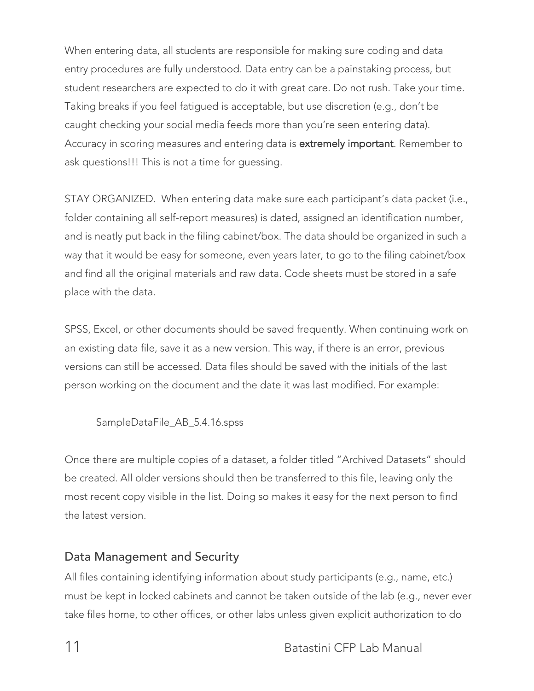When entering data, all students are responsible for making sure coding and data entry procedures are fully understood. Data entry can be a painstaking process, but student researchers are expected to do it with great care. Do not rush. Take your time. Taking breaks if you feel fatigued is acceptable, but use discretion (e.g., don't be caught checking your social media feeds more than you're seen entering data). Accuracy in scoring measures and entering data is extremely important. Remember to ask questions!!! This is not a time for guessing.

STAY ORGANIZED. When entering data make sure each participant's data packet (i.e., folder containing all self-report measures) is dated, assigned an identification number, and is neatly put back in the filing cabinet/box. The data should be organized in such a way that it would be easy for someone, even years later, to go to the filing cabinet/box and find all the original materials and raw data. Code sheets must be stored in a safe place with the data.

SPSS, Excel, or other documents should be saved frequently. When continuing work on an existing data file, save it as a new version. This way, if there is an error, previous versions can still be accessed. Data files should be saved with the initials of the last person working on the document and the date it was last modified. For example:

SampleDataFile\_AB\_5.4.16.spss

Once there are multiple copies of a dataset, a folder titled "Archived Datasets" should be created. All older versions should then be transferred to this file, leaving only the most recent copy visible in the list. Doing so makes it easy for the next person to find the latest version.

#### Data Management and Security

All files containing identifying information about study participants (e.g., name, etc.) must be kept in locked cabinets and cannot be taken outside of the lab (e.g., never ever take files home, to other offices, or other labs unless given explicit authorization to do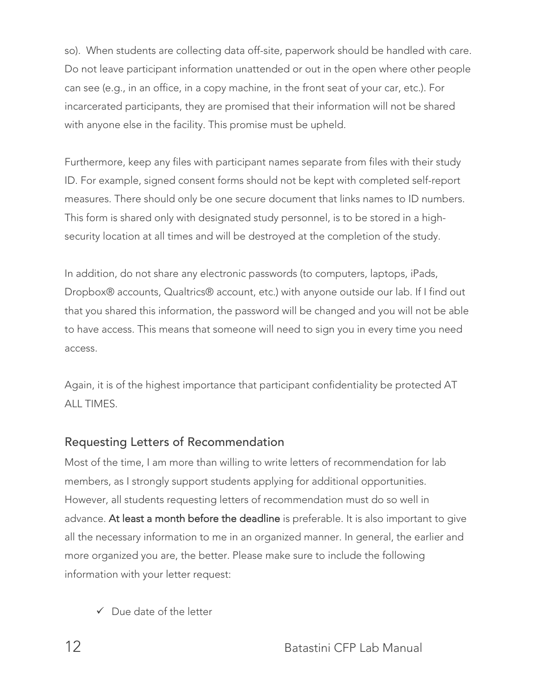so). When students are collecting data off-site, paperwork should be handled with care. Do not leave participant information unattended or out in the open where other people can see (e.g., in an office, in a copy machine, in the front seat of your car, etc.). For incarcerated participants, they are promised that their information will not be shared with anyone else in the facility. This promise must be upheld.

Furthermore, keep any files with participant names separate from files with their study ID. For example, signed consent forms should not be kept with completed self-report measures. There should only be one secure document that links names to ID numbers. This form is shared only with designated study personnel, is to be stored in a highsecurity location at all times and will be destroyed at the completion of the study.

In addition, do not share any electronic passwords (to computers, laptops, iPads, Dropbox® accounts, Qualtrics® account, etc.) with anyone outside our lab. If I find out that you shared this information, the password will be changed and you will not be able to have access. This means that someone will need to sign you in every time you need access.

Again, it is of the highest importance that participant confidentiality be protected AT **ALL TIMES** 

#### Requesting Letters of Recommendation

Most of the time, I am more than willing to write letters of recommendation for lab members, as I strongly support students applying for additional opportunities. However, all students requesting letters of recommendation must do so well in advance. At least a month before the deadline is preferable. It is also important to give all the necessary information to me in an organized manner. In general, the earlier and more organized you are, the better. Please make sure to include the following information with your letter request:

 $\checkmark$  Due date of the letter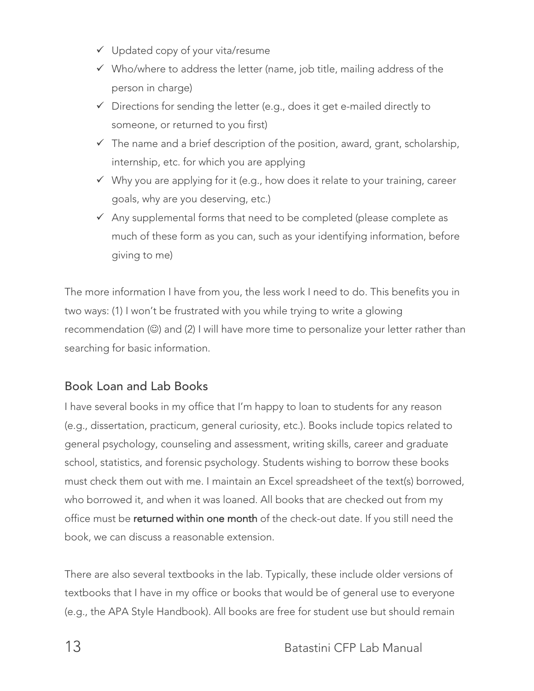- $\checkmark$  Updated copy of your vita/resume
- $\checkmark$  Who/where to address the letter (name, job title, mailing address of the person in charge)
- $\checkmark$  Directions for sending the letter (e.g., does it get e-mailed directly to someone, or returned to you first)
- $\checkmark$  The name and a brief description of the position, award, grant, scholarship, internship, etc. for which you are applying
- $\checkmark$  Why you are applying for it (e.g., how does it relate to your training, career goals, why are you deserving, etc.)
- $\checkmark$  Any supplemental forms that need to be completed (please complete as much of these form as you can, such as your identifying information, before giving to me)

The more information I have from you, the less work I need to do. This benefits you in two ways: (1) I won't be frustrated with you while trying to write a glowing recommendation  $(\circledcirc)$  and  $(2)$  I will have more time to personalize your letter rather than searching for basic information.

# Book Loan and Lab Books

I have several books in my office that I'm happy to loan to students for any reason (e.g., dissertation, practicum, general curiosity, etc.). Books include topics related to general psychology, counseling and assessment, writing skills, career and graduate school, statistics, and forensic psychology. Students wishing to borrow these books must check them out with me. I maintain an Excel spreadsheet of the text(s) borrowed, who borrowed it, and when it was loaned. All books that are checked out from my office must be returned within one month of the check-out date. If you still need the book, we can discuss a reasonable extension.

There are also several textbooks in the lab. Typically, these include older versions of textbooks that I have in my office or books that would be of general use to everyone (e.g., the APA Style Handbook). All books are free for student use but should remain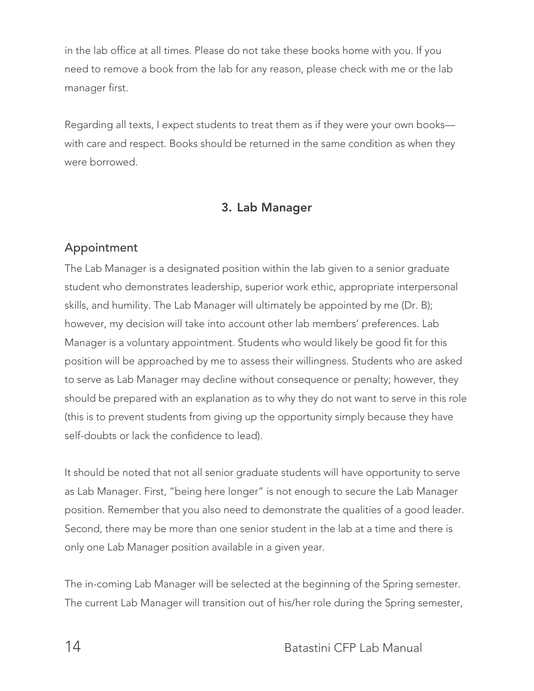in the lab office at all times. Please do not take these books home with you. If you need to remove a book from the lab for any reason, please check with me or the lab manager first.

Regarding all texts, I expect students to treat them as if they were your own books with care and respect. Books should be returned in the same condition as when they were borrowed.

## 3. Lab Manager

# Appointment

The Lab Manager is a designated position within the lab given to a senior graduate student who demonstrates leadership, superior work ethic, appropriate interpersonal skills, and humility. The Lab Manager will ultimately be appointed by me (Dr. B); however, my decision will take into account other lab members' preferences. Lab Manager is a voluntary appointment. Students who would likely be good fit for this position will be approached by me to assess their willingness. Students who are asked to serve as Lab Manager may decline without consequence or penalty; however, they should be prepared with an explanation as to why they do not want to serve in this role (this is to prevent students from giving up the opportunity simply because they have self-doubts or lack the confidence to lead).

It should be noted that not all senior graduate students will have opportunity to serve as Lab Manager. First, "being here longer" is not enough to secure the Lab Manager position. Remember that you also need to demonstrate the qualities of a good leader. Second, there may be more than one senior student in the lab at a time and there is only one Lab Manager position available in a given year.

The in-coming Lab Manager will be selected at the beginning of the Spring semester. The current Lab Manager will transition out of his/her role during the Spring semester,

14 Batastini CFP Lab Manual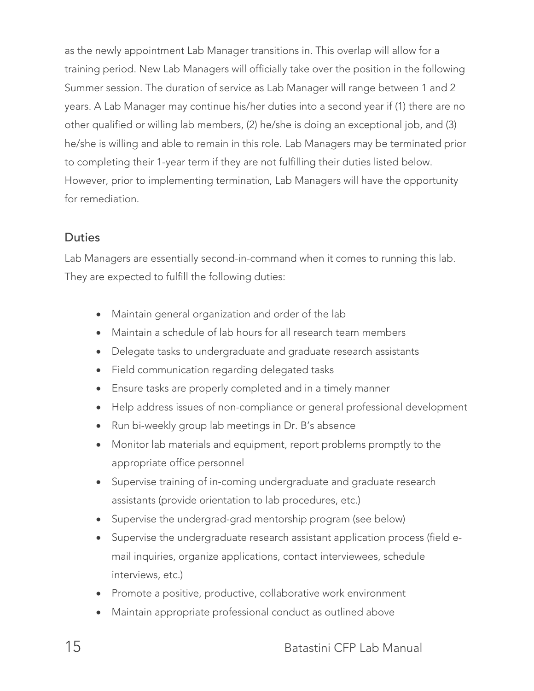as the newly appointment Lab Manager transitions in. This overlap will allow for a training period. New Lab Managers will officially take over the position in the following Summer session. The duration of service as Lab Manager will range between 1 and 2 years. A Lab Manager may continue his/her duties into a second year if (1) there are no other qualified or willing lab members, (2) he/she is doing an exceptional job, and (3) he/she is willing and able to remain in this role. Lab Managers may be terminated prior to completing their 1-year term if they are not fulfilling their duties listed below. However, prior to implementing termination, Lab Managers will have the opportunity for remediation.

#### **Duties**

Lab Managers are essentially second-in-command when it comes to running this lab. They are expected to fulfill the following duties:

- Maintain general organization and order of the lab
- Maintain a schedule of lab hours for all research team members
- Delegate tasks to undergraduate and graduate research assistants
- Field communication regarding delegated tasks
- Ensure tasks are properly completed and in a timely manner
- Help address issues of non-compliance or general professional development
- Run bi-weekly group lab meetings in Dr. B's absence
- Monitor lab materials and equipment, report problems promptly to the appropriate office personnel
- Supervise training of in-coming undergraduate and graduate research assistants (provide orientation to lab procedures, etc.)
- Supervise the undergrad-grad mentorship program (see below)
- Supervise the undergraduate research assistant application process (field email inquiries, organize applications, contact interviewees, schedule interviews, etc.)
- Promote a positive, productive, collaborative work environment
- Maintain appropriate professional conduct as outlined above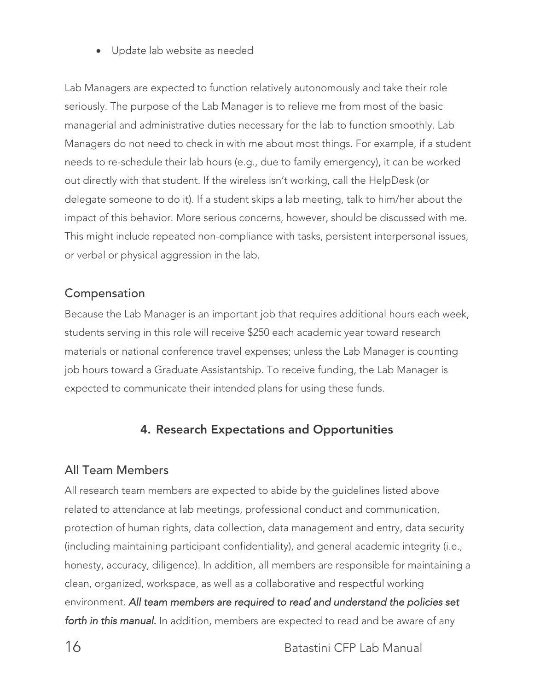• Update lab website as needed

Lab Managers are expected to function relatively autonomously and take their role seriously. The purpose of the Lab Manager is to relieve me from most of the basic managerial and administrative duties necessary for the lab to function smoothly. Lab Managers do not need to check in with me about most things. For example, if a student needs to re-schedule their lab hours (e.g., due to family emergency), it can be worked out directly with that student. If the wireless isn't working, call the HelpDesk (or delegate someone to do it). If a student skips a lab meeting, talk to him/her about the impact of this behavior. More serious concerns, however, should be discussed with me. This might include repeated non-compliance with tasks, persistent interpersonal issues, or verbal or physical aggression in the lab.

## Compensation

Because the Lab Manager is an important job that requires additional hours each week, students serving in this role will receive \$250 each academic year toward research materials or national conference travel expenses; unless the Lab Manager is counting job hours toward a Graduate Assistantship. To receive funding, the Lab Manager is expected to communicate their intended plans for using these funds.

# 4. Research Expectations and Opportunities

## All Team Members

All research team members are expected to abide by the guidelines listed above related to attendance at lab meetings, professional conduct and communication, protection of human rights, data collection, data management and entry, data security (including maintaining participant confidentiality), and general academic integrity (i.e., honesty, accuracy, diligence). In addition, all members are responsible for maintaining a clean, organized, workspace, as well as a collaborative and respectful working environment. *All team members are required to read and understand the policies set forth in this manual.* In addition, members are expected to read and be aware of any

16 Batastini CFP Lab Manual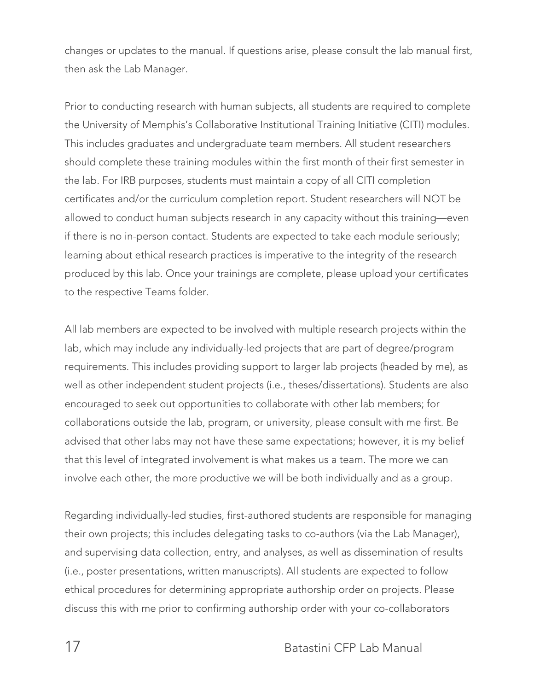changes or updates to the manual. If questions arise, please consult the lab manual first, then ask the Lab Manager.

Prior to conducting research with human subjects, all students are required to complete the University of Memphis's Collaborative Institutional Training Initiative (CITI) modules. This includes graduates and undergraduate team members. All student researchers should complete these training modules within the first month of their first semester in the lab. For IRB purposes, students must maintain a copy of all CITI completion certificates and/or the curriculum completion report. Student researchers will NOT be allowed to conduct human subjects research in any capacity without this training—even if there is no in-person contact. Students are expected to take each module seriously; learning about ethical research practices is imperative to the integrity of the research produced by this lab. Once your trainings are complete, please upload your certificates to the respective Teams folder.

All lab members are expected to be involved with multiple research projects within the lab, which may include any individually-led projects that are part of degree/program requirements. This includes providing support to larger lab projects (headed by me), as well as other independent student projects (i.e., theses/dissertations). Students are also encouraged to seek out opportunities to collaborate with other lab members; for collaborations outside the lab, program, or university, please consult with me first. Be advised that other labs may not have these same expectations; however, it is my belief that this level of integrated involvement is what makes us a team. The more we can involve each other, the more productive we will be both individually and as a group.

Regarding individually-led studies, first-authored students are responsible for managing their own projects; this includes delegating tasks to co-authors (via the Lab Manager), and supervising data collection, entry, and analyses, as well as dissemination of results (i.e., poster presentations, written manuscripts). All students are expected to follow ethical procedures for determining appropriate authorship order on projects. Please discuss this with me prior to confirming authorship order with your co-collaborators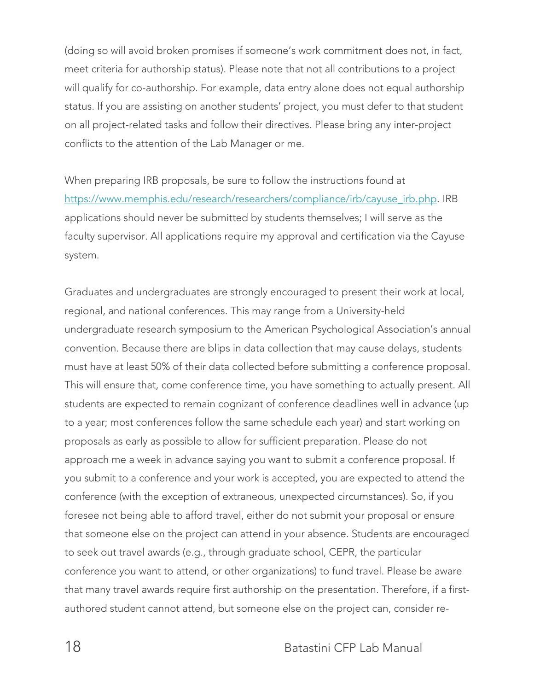(doing so will avoid broken promises if someone's work commitment does not, in fact, meet criteria for authorship status). Please note that not all contributions to a project will qualify for co-authorship. For example, data entry alone does not equal authorship status. If you are assisting on another students' project, you must defer to that student on all project-related tasks and follow their directives. Please bring any inter-project conflicts to the attention of the Lab Manager or me.

When preparing IRB proposals, be sure to follow the instructions found at https://www.memphis.edu/research/researchers/compliance/irb/cayuse\_irb.php. IRB applications should never be submitted by students themselves; I will serve as the faculty supervisor. All applications require my approval and certification via the Cayuse system.

Graduates and undergraduates are strongly encouraged to present their work at local, regional, and national conferences. This may range from a University-held undergraduate research symposium to the American Psychological Association's annual convention. Because there are blips in data collection that may cause delays, students must have at least 50% of their data collected before submitting a conference proposal. This will ensure that, come conference time, you have something to actually present. All students are expected to remain cognizant of conference deadlines well in advance (up to a year; most conferences follow the same schedule each year) and start working on proposals as early as possible to allow for sufficient preparation. Please do not approach me a week in advance saying you want to submit a conference proposal. If you submit to a conference and your work is accepted, you are expected to attend the conference (with the exception of extraneous, unexpected circumstances). So, if you foresee not being able to afford travel, either do not submit your proposal or ensure that someone else on the project can attend in your absence. Students are encouraged to seek out travel awards (e.g., through graduate school, CEPR, the particular conference you want to attend, or other organizations) to fund travel. Please be aware that many travel awards require first authorship on the presentation. Therefore, if a firstauthored student cannot attend, but someone else on the project can, consider re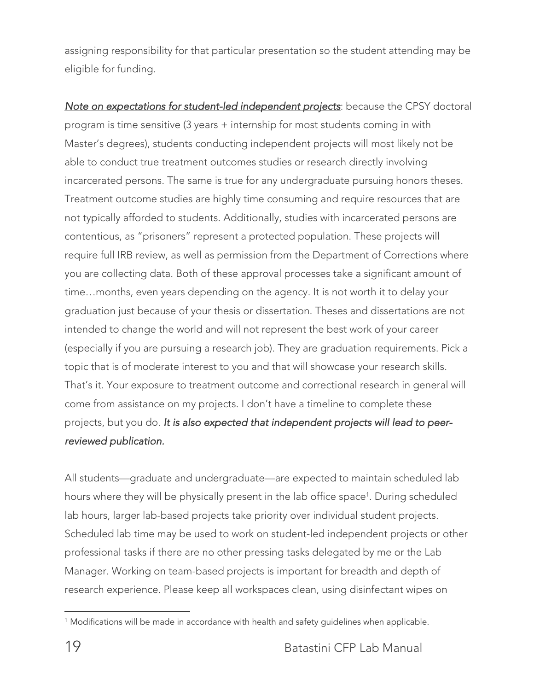assigning responsibility for that particular presentation so the student attending may be eligible for funding.

*Note on expectations for student-led independent projects*: because the CPSY doctoral program is time sensitive (3 years + internship for most students coming in with Master's degrees), students conducting independent projects will most likely not be able to conduct true treatment outcomes studies or research directly involving incarcerated persons. The same is true for any undergraduate pursuing honors theses. Treatment outcome studies are highly time consuming and require resources that are not typically afforded to students. Additionally, studies with incarcerated persons are contentious, as "prisoners" represent a protected population. These projects will require full IRB review, as well as permission from the Department of Corrections where you are collecting data. Both of these approval processes take a significant amount of time…months, even years depending on the agency. It is not worth it to delay your graduation just because of your thesis or dissertation. Theses and dissertations are not intended to change the world and will not represent the best work of your career (especially if you are pursuing a research job). They are graduation requirements. Pick a topic that is of moderate interest to you and that will showcase your research skills. That's it. Your exposure to treatment outcome and correctional research in general will come from assistance on my projects. I don't have a timeline to complete these projects, but you do. *It is also expected that independent projects will lead to peerreviewed publication.*

All students—graduate and undergraduate—are expected to maintain scheduled lab hours where they will be physically present in the lab office space<sup>1</sup>. During scheduled lab hours, larger lab-based projects take priority over individual student projects. Scheduled lab time may be used to work on student-led independent projects or other professional tasks if there are no other pressing tasks delegated by me or the Lab Manager. Working on team-based projects is important for breadth and depth of research experience. Please keep all workspaces clean, using disinfectant wipes on

<sup>&</sup>lt;sup>1</sup> Modifications will be made in accordance with health and safety guidelines when applicable.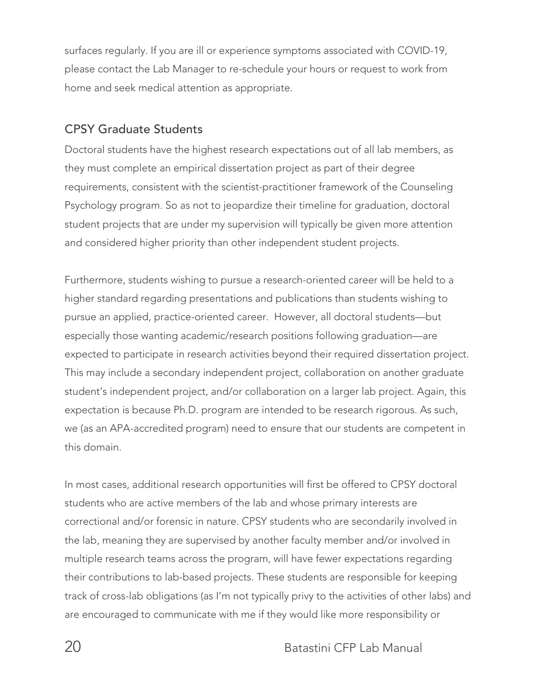surfaces regularly. If you are ill or experience symptoms associated with COVID-19, please contact the Lab Manager to re-schedule your hours or request to work from home and seek medical attention as appropriate.

#### CPSY Graduate Students

Doctoral students have the highest research expectations out of all lab members, as they must complete an empirical dissertation project as part of their degree requirements, consistent with the scientist-practitioner framework of the Counseling Psychology program. So as not to jeopardize their timeline for graduation, doctoral student projects that are under my supervision will typically be given more attention and considered higher priority than other independent student projects.

Furthermore, students wishing to pursue a research-oriented career will be held to a higher standard regarding presentations and publications than students wishing to pursue an applied, practice-oriented career. However, all doctoral students—but especially those wanting academic/research positions following graduation—are expected to participate in research activities beyond their required dissertation project. This may include a secondary independent project, collaboration on another graduate student's independent project, and/or collaboration on a larger lab project. Again, this expectation is because Ph.D. program are intended to be research rigorous. As such, we (as an APA-accredited program) need to ensure that our students are competent in this domain.

In most cases, additional research opportunities will first be offered to CPSY doctoral students who are active members of the lab and whose primary interests are correctional and/or forensic in nature. CPSY students who are secondarily involved in the lab, meaning they are supervised by another faculty member and/or involved in multiple research teams across the program, will have fewer expectations regarding their contributions to lab-based projects. These students are responsible for keeping track of cross-lab obligations (as I'm not typically privy to the activities of other labs) and are encouraged to communicate with me if they would like more responsibility or

20 Batastini CFP Lab Manual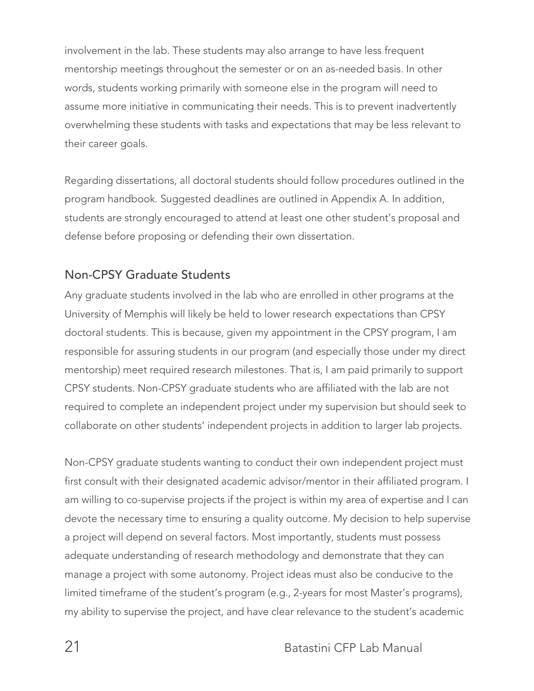involvement in the lab. These students may also arrange to have less frequent mentorship meetings throughout the semester or on an as-needed basis. In other words, students working primarily with someone else in the program will need to assume more initiative in communicating their needs. This is to prevent inadvertently overwhelming these students with tasks and expectations that may be less relevant to their career goals.

Regarding dissertations, all doctoral students should follow procedures outlined in the program handbook. Suggested deadlines are outlined in Appendix A. In addition, students are strongly encouraged to attend at least one other student's proposal and defense before proposing or defending their own dissertation.

## Non-CPSY Graduate Students

Any graduate students involved in the lab who are enrolled in other programs at the University of Memphis will likely be held to lower research expectations than CPSY doctoral students. This is because, given my appointment in the CPSY program, I am responsible for assuring students in our program (and especially those under my direct mentorship) meet required research milestones. That is, I am paid primarily to support CPSY students. Non-CPSY graduate students who are affiliated with the lab are not required to complete an independent project under my supervision but should seek to collaborate on other students' independent projects in addition to larger lab projects.

Non-CPSY graduate students wanting to conduct their own independent project must first consult with their designated academic advisor/mentor in their affiliated program. I am willing to co-supervise projects if the project is within my area of expertise and I can devote the necessary time to ensuring a quality outcome. My decision to help supervise a project will depend on several factors. Most importantly, students must possess adequate understanding of research methodology and demonstrate that they can manage a project with some autonomy. Project ideas must also be conducive to the limited timeframe of the student's program (e.g., 2-years for most Master's programs), my ability to supervise the project, and have clear relevance to the student's academic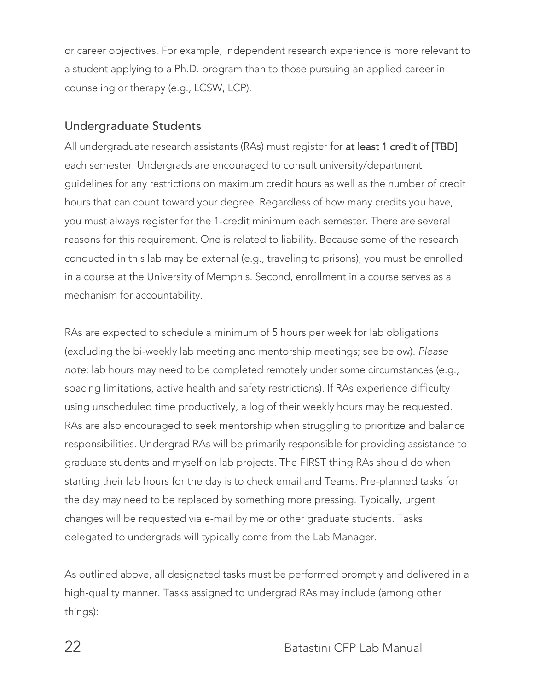or career objectives. For example, independent research experience is more relevant to a student applying to a Ph.D. program than to those pursuing an applied career in counseling or therapy (e.g., LCSW, LCP).

#### Undergraduate Students

All undergraduate research assistants (RAs) must register for at least 1 credit of [TBD] each semester. Undergrads are encouraged to consult university/department guidelines for any restrictions on maximum credit hours as well as the number of credit hours that can count toward your degree. Regardless of how many credits you have, you must always register for the 1-credit minimum each semester. There are several reasons for this requirement. One is related to liability. Because some of the research conducted in this lab may be external (e.g., traveling to prisons), you must be enrolled in a course at the University of Memphis. Second, enrollment in a course serves as a mechanism for accountability.

RAs are expected to schedule a minimum of 5 hours per week for lab obligations (excluding the bi-weekly lab meeting and mentorship meetings; see below). *Please note*: lab hours may need to be completed remotely under some circumstances (e.g., spacing limitations, active health and safety restrictions). If RAs experience difficulty using unscheduled time productively, a log of their weekly hours may be requested. RAs are also encouraged to seek mentorship when struggling to prioritize and balance responsibilities. Undergrad RAs will be primarily responsible for providing assistance to graduate students and myself on lab projects. The FIRST thing RAs should do when starting their lab hours for the day is to check email and Teams. Pre-planned tasks for the day may need to be replaced by something more pressing. Typically, urgent changes will be requested via e-mail by me or other graduate students. Tasks delegated to undergrads will typically come from the Lab Manager.

As outlined above, all designated tasks must be performed promptly and delivered in a high-quality manner. Tasks assigned to undergrad RAs may include (among other things):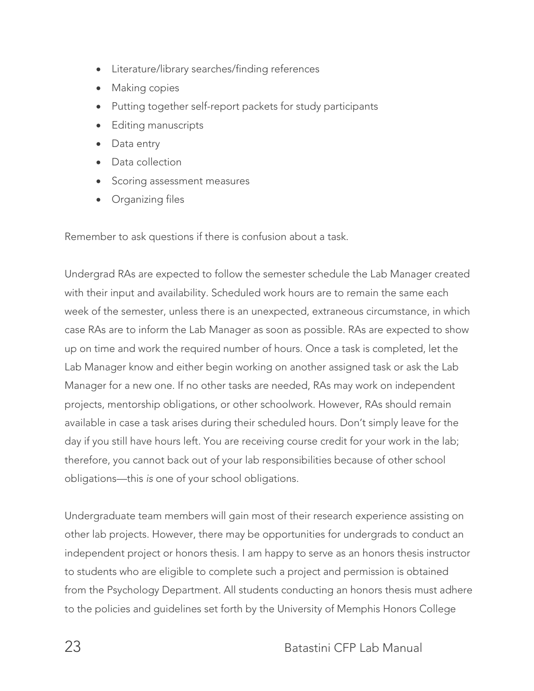- Literature/library searches/finding references
- Making copies
- Putting together self-report packets for study participants
- Editing manuscripts
- Data entry
- Data collection
- Scoring assessment measures
- Organizing files

Remember to ask questions if there is confusion about a task.

Undergrad RAs are expected to follow the semester schedule the Lab Manager created with their input and availability. Scheduled work hours are to remain the same each week of the semester, unless there is an unexpected, extraneous circumstance, in which case RAs are to inform the Lab Manager as soon as possible. RAs are expected to show up on time and work the required number of hours. Once a task is completed, let the Lab Manager know and either begin working on another assigned task or ask the Lab Manager for a new one. If no other tasks are needed, RAs may work on independent projects, mentorship obligations, or other schoolwork. However, RAs should remain available in case a task arises during their scheduled hours. Don't simply leave for the day if you still have hours left. You are receiving course credit for your work in the lab; therefore, you cannot back out of your lab responsibilities because of other school obligations—this *is* one of your school obligations.

Undergraduate team members will gain most of their research experience assisting on other lab projects. However, there may be opportunities for undergrads to conduct an independent project or honors thesis. I am happy to serve as an honors thesis instructor to students who are eligible to complete such a project and permission is obtained from the Psychology Department. All students conducting an honors thesis must adhere to the policies and guidelines set forth by the University of Memphis Honors College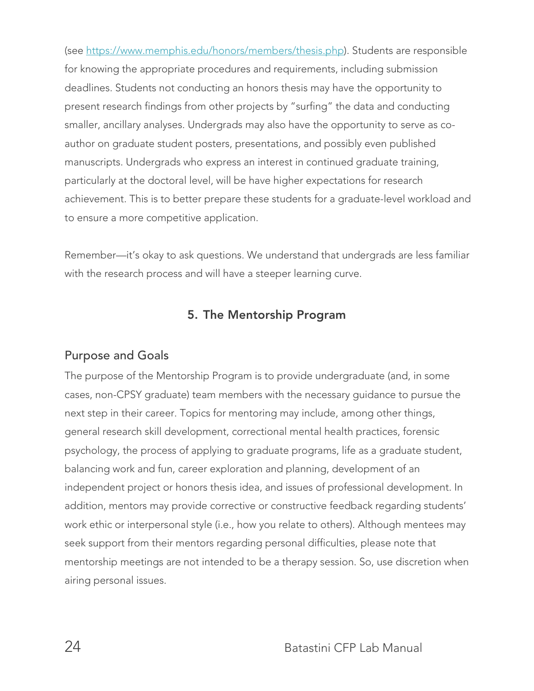(see https://www.memphis.edu/honors/members/thesis.php). Students are responsible for knowing the appropriate procedures and requirements, including submission deadlines. Students not conducting an honors thesis may have the opportunity to present research findings from other projects by "surfing" the data and conducting smaller, ancillary analyses. Undergrads may also have the opportunity to serve as coauthor on graduate student posters, presentations, and possibly even published manuscripts. Undergrads who express an interest in continued graduate training, particularly at the doctoral level, will be have higher expectations for research achievement. This is to better prepare these students for a graduate-level workload and to ensure a more competitive application.

Remember—it's okay to ask questions. We understand that undergrads are less familiar with the research process and will have a steeper learning curve.

#### 5. The Mentorship Program

#### Purpose and Goals

The purpose of the Mentorship Program is to provide undergraduate (and, in some cases, non-CPSY graduate) team members with the necessary guidance to pursue the next step in their career. Topics for mentoring may include, among other things, general research skill development, correctional mental health practices, forensic psychology, the process of applying to graduate programs, life as a graduate student, balancing work and fun, career exploration and planning, development of an independent project or honors thesis idea, and issues of professional development. In addition, mentors may provide corrective or constructive feedback regarding students' work ethic or interpersonal style (i.e., how you relate to others). Although mentees may seek support from their mentors regarding personal difficulties, please note that mentorship meetings are not intended to be a therapy session. So, use discretion when airing personal issues.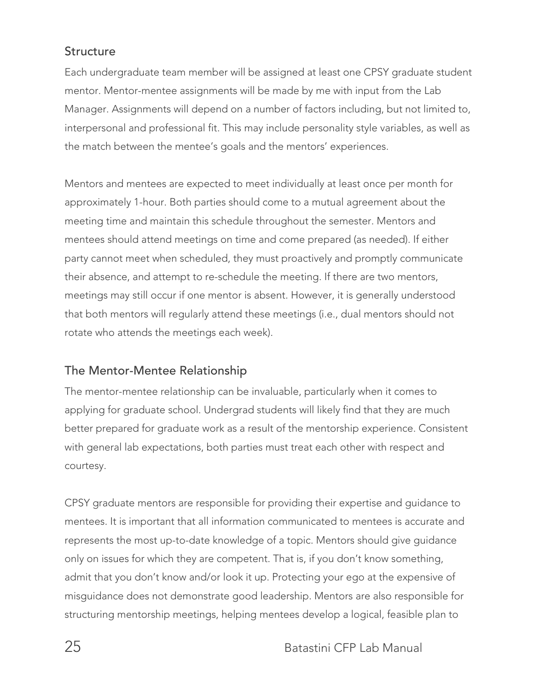## **Structure**

Each undergraduate team member will be assigned at least one CPSY graduate student mentor. Mentor-mentee assignments will be made by me with input from the Lab Manager. Assignments will depend on a number of factors including, but not limited to, interpersonal and professional fit. This may include personality style variables, as well as the match between the mentee's goals and the mentors' experiences.

Mentors and mentees are expected to meet individually at least once per month for approximately 1-hour. Both parties should come to a mutual agreement about the meeting time and maintain this schedule throughout the semester. Mentors and mentees should attend meetings on time and come prepared (as needed). If either party cannot meet when scheduled, they must proactively and promptly communicate their absence, and attempt to re-schedule the meeting. If there are two mentors, meetings may still occur if one mentor is absent. However, it is generally understood that both mentors will regularly attend these meetings (i.e., dual mentors should not rotate who attends the meetings each week).

# The Mentor-Mentee Relationship

The mentor-mentee relationship can be invaluable, particularly when it comes to applying for graduate school. Undergrad students will likely find that they are much better prepared for graduate work as a result of the mentorship experience. Consistent with general lab expectations, both parties must treat each other with respect and courtesy.

CPSY graduate mentors are responsible for providing their expertise and guidance to mentees. It is important that all information communicated to mentees is accurate and represents the most up-to-date knowledge of a topic. Mentors should give guidance only on issues for which they are competent. That is, if you don't know something, admit that you don't know and/or look it up. Protecting your ego at the expensive of misguidance does not demonstrate good leadership. Mentors are also responsible for structuring mentorship meetings, helping mentees develop a logical, feasible plan to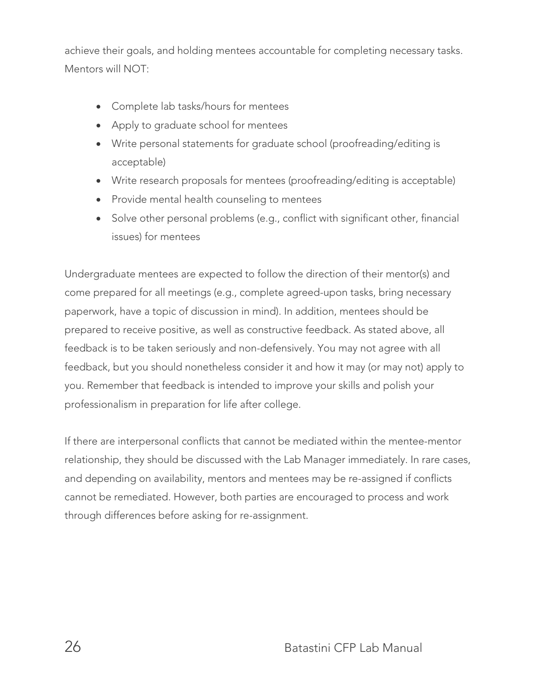achieve their goals, and holding mentees accountable for completing necessary tasks. Mentors will NOT:

- Complete lab tasks/hours for mentees
- Apply to graduate school for mentees
- Write personal statements for graduate school (proofreading/editing is acceptable)
- Write research proposals for mentees (proofreading/editing is acceptable)
- Provide mental health counseling to mentees
- Solve other personal problems (e.g., conflict with significant other, financial issues) for mentees

Undergraduate mentees are expected to follow the direction of their mentor(s) and come prepared for all meetings (e.g., complete agreed-upon tasks, bring necessary paperwork, have a topic of discussion in mind). In addition, mentees should be prepared to receive positive, as well as constructive feedback. As stated above, all feedback is to be taken seriously and non-defensively. You may not agree with all feedback, but you should nonetheless consider it and how it may (or may not) apply to you. Remember that feedback is intended to improve your skills and polish your professionalism in preparation for life after college.

If there are interpersonal conflicts that cannot be mediated within the mentee-mentor relationship, they should be discussed with the Lab Manager immediately. In rare cases, and depending on availability, mentors and mentees may be re-assigned if conflicts cannot be remediated. However, both parties are encouraged to process and work through differences before asking for re-assignment.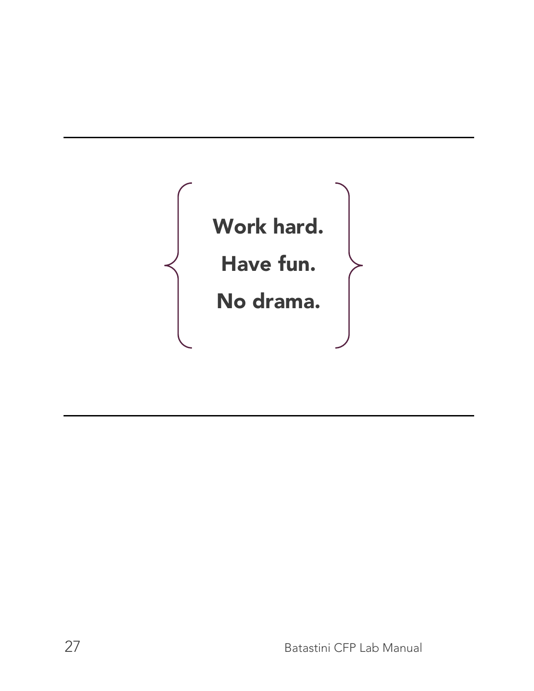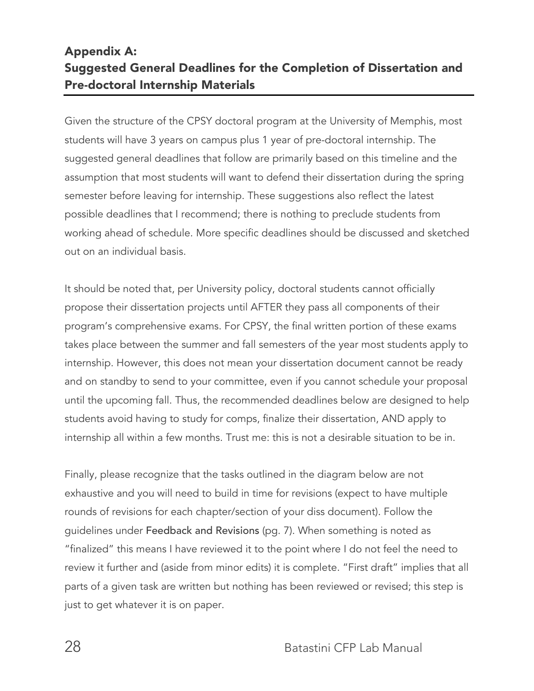# Appendix A: Suggested General Deadlines for the Completion of Dissertation and Pre-doctoral Internship Materials

Given the structure of the CPSY doctoral program at the University of Memphis, most students will have 3 years on campus plus 1 year of pre-doctoral internship. The suggested general deadlines that follow are primarily based on this timeline and the assumption that most students will want to defend their dissertation during the spring semester before leaving for internship. These suggestions also reflect the latest possible deadlines that I recommend; there is nothing to preclude students from working ahead of schedule. More specific deadlines should be discussed and sketched out on an individual basis.

It should be noted that, per University policy, doctoral students cannot officially propose their dissertation projects until AFTER they pass all components of their program's comprehensive exams. For CPSY, the final written portion of these exams takes place between the summer and fall semesters of the year most students apply to internship. However, this does not mean your dissertation document cannot be ready and on standby to send to your committee, even if you cannot schedule your proposal until the upcoming fall. Thus, the recommended deadlines below are designed to help students avoid having to study for comps, finalize their dissertation, AND apply to internship all within a few months. Trust me: this is not a desirable situation to be in.

Finally, please recognize that the tasks outlined in the diagram below are not exhaustive and you will need to build in time for revisions (expect to have multiple rounds of revisions for each chapter/section of your diss document). Follow the guidelines under Feedback and Revisions (pg. 7). When something is noted as "finalized" this means I have reviewed it to the point where I do not feel the need to review it further and (aside from minor edits) it is complete. "First draft" implies that all parts of a given task are written but nothing has been reviewed or revised; this step is just to get whatever it is on paper.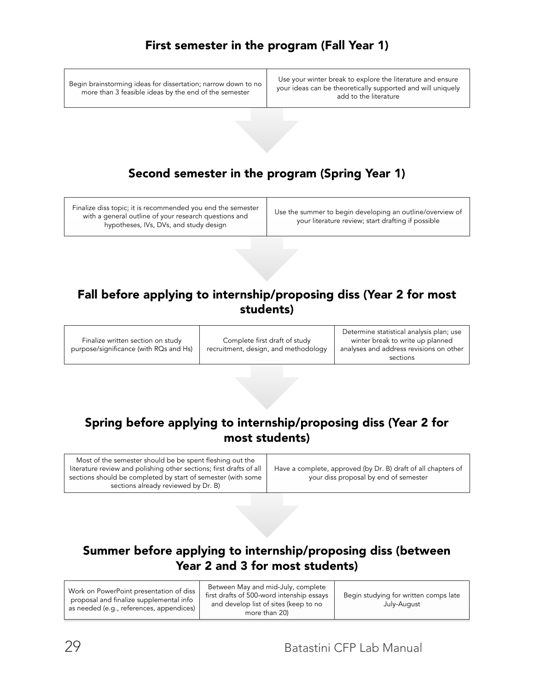Begin brainstorming ideas for dissertation; narrow down to no more than 3 feasible ideas by the end of the semester

Use your winter break to explore the literature and ensure your ideas can be theoretically supported and will uniquely add to the literature

# Second semester in the program (Spring Year 1)

Finalize diss topic; it is recommended you end the semester with a general outline of your research questions and hypotheses, IVs, DVs, and study design

Use the summer to begin developing an outline/overview of your literature review; start drafting if possible

## Fall before applying to internship/proposing diss (Year 2 for most students)

Finalize written section on study purpose/significance (with RQs and Hs)

Complete first draft of study recruitment, design, and methodology

Determine statistical analysis plan; use winter break to write up planned analyses and address revisions on other sections

# Spring before applying to internship/proposing diss (Year 2 for most students)

| Most of the semester should be be spent fleshing out the            |                                                               |
|---------------------------------------------------------------------|---------------------------------------------------------------|
| literature review and polishing other sections; first drafts of all | Have a complete, approved (by Dr. B) draft of all chapters of |
| sections should be completed by start of semester (with some        | your diss proposal by end of semester                         |
| sections already reviewed by Dr. B)                                 |                                                               |

## Summer before applying to internship/proposing diss (between Year 2 and 3 for most students)

| Work on PowerPoint presentation of diss  <br>proposal and finalize supplemental info<br>as needed (e.g., references, appendices) | Between May and mid-July, complete<br>first drafts of 500-word intenship essays<br>and develop list of sites (keep to no<br>more than 20) | Begin studying for written comps late<br>July-August |
|----------------------------------------------------------------------------------------------------------------------------------|-------------------------------------------------------------------------------------------------------------------------------------------|------------------------------------------------------|
|----------------------------------------------------------------------------------------------------------------------------------|-------------------------------------------------------------------------------------------------------------------------------------------|------------------------------------------------------|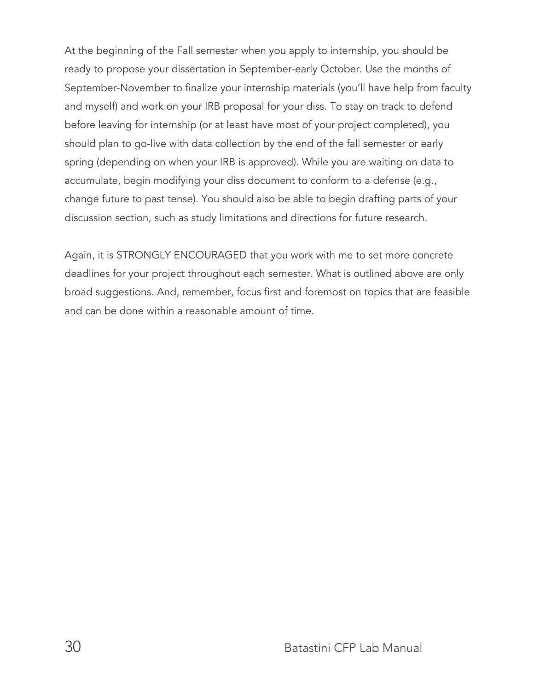At the beginning of the Fall semester when you apply to internship, you should be ready to propose your dissertation in September-early October. Use the months of September-November to finalize your internship materials (you'll have help from faculty and myself) and work on your IRB proposal for your diss. To stay on track to defend before leaving for internship (or at least have most of your project completed), you should plan to go-live with data collection by the end of the fall semester or early spring (depending on when your IRB is approved). While you are waiting on data to accumulate, begin modifying your diss document to conform to a defense (e.g., change future to past tense). You should also be able to begin drafting parts of your discussion section, such as study limitations and directions for future research.

Again, it is STRONGLY ENCOURAGED that you work with me to set more concrete deadlines for your project throughout each semester. What is outlined above are only broad suggestions. And, remember, focus first and foremost on topics that are feasible and can be done within a reasonable amount of time.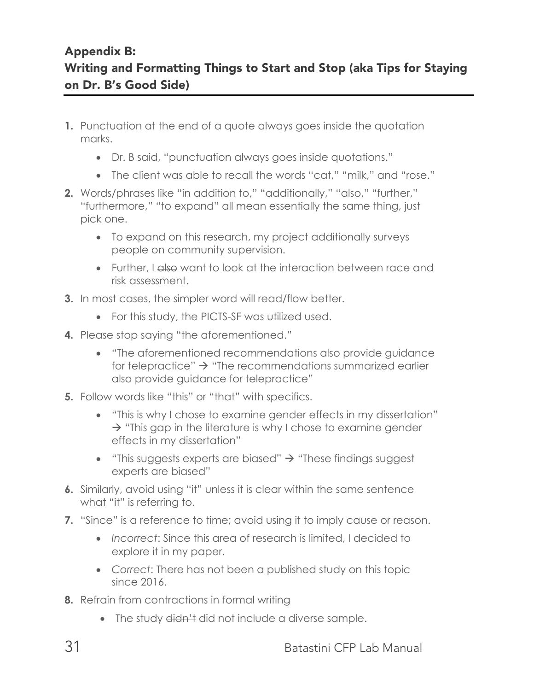# Appendix B: Writing and Formatting Things to Start and Stop (aka Tips for Staying on Dr. B's Good Side)

- **1.** Punctuation at the end of a quote always goes inside the quotation marks.
	- Dr. B said, "punctuation always goes inside quotations."
	- The client was able to recall the words "cat," "milk," and "rose."
- **2.** Words/phrases like "in addition to," "additionally," "also," "further," "furthermore," "to expand" all mean essentially the same thing, just pick one.
	- To expand on this research, my project additionally surveys people on community supervision.
	- Further, I alse want to look at the interaction between race and risk assessment.
- **3.** In most cases, the simpler word will read/flow better.
	- For this study, the PICTS-SF was utilized used.
- **4.** Please stop saying "the aforementioned."
	- "The aforementioned recommendations also provide guidance for telepractice"  $\rightarrow$  "The recommendations summarized earlier also provide guidance for telepractice"
- **5.** Follow words like "this" or "that" with specifics.
	- "This is why I chose to examine gender effects in my dissertation"  $\rightarrow$  "This gap in the literature is why I chose to examine gender effects in my dissertation"
	- "This suggests experts are biased"  $\rightarrow$  "These findings suggest experts are biased"
- **6.** Similarly, avoid using "it" unless it is clear within the same sentence what "it" is referring to.
- **7.** "Since" is a reference to time; avoid using it to imply cause or reason.
	- *Incorrect*: Since this area of research is limited, I decided to explore it in my paper.
	- *Correct*: There has not been a published study on this topic since 2016.
- **8.** Refrain from contractions in formal writing
	- The study didn't did not include a diverse sample.